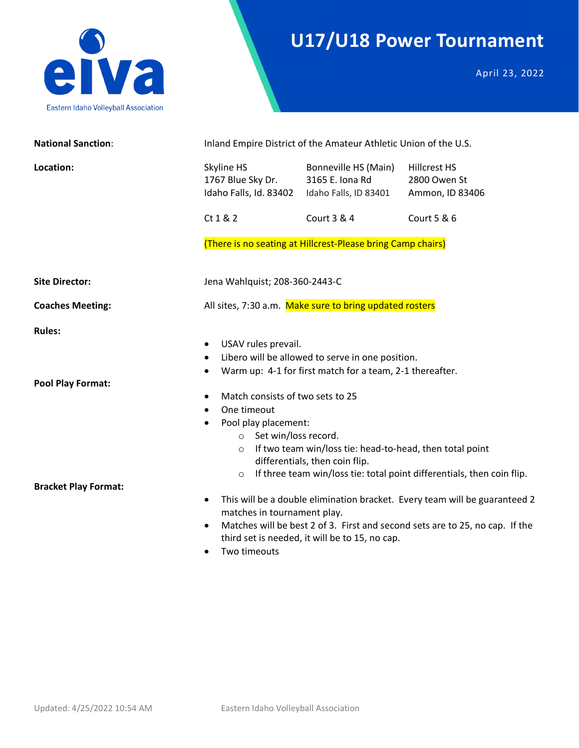

## **U17/U18 Power Tournament**

April 23, 2022

| <b>National Sanction:</b>                                                | Inland Empire District of the Amateur Athletic Union of the U.S.                                                                                                                                                                                                                                                                                                                                                                                                                                                                                                                                                                                                                                                                    |                                                                  |                                                        |  |
|--------------------------------------------------------------------------|-------------------------------------------------------------------------------------------------------------------------------------------------------------------------------------------------------------------------------------------------------------------------------------------------------------------------------------------------------------------------------------------------------------------------------------------------------------------------------------------------------------------------------------------------------------------------------------------------------------------------------------------------------------------------------------------------------------------------------------|------------------------------------------------------------------|--------------------------------------------------------|--|
| Location:                                                                | Skyline HS<br>1767 Blue Sky Dr.<br>Idaho Falls, Id. 83402                                                                                                                                                                                                                                                                                                                                                                                                                                                                                                                                                                                                                                                                           | Bonneville HS (Main)<br>3165 E. Iona Rd<br>Idaho Falls, ID 83401 | <b>Hillcrest HS</b><br>2800 Owen St<br>Ammon, ID 83406 |  |
|                                                                          | Ct 1 & 2                                                                                                                                                                                                                                                                                                                                                                                                                                                                                                                                                                                                                                                                                                                            | Court 3 & 4                                                      | Court 5 & 6                                            |  |
|                                                                          |                                                                                                                                                                                                                                                                                                                                                                                                                                                                                                                                                                                                                                                                                                                                     | (There is no seating at Hillcrest-Please bring Camp chairs)      |                                                        |  |
| <b>Site Director:</b>                                                    | Jena Wahlquist; 208-360-2443-C                                                                                                                                                                                                                                                                                                                                                                                                                                                                                                                                                                                                                                                                                                      |                                                                  |                                                        |  |
| <b>Coaches Meeting:</b>                                                  | All sites, 7:30 a.m. Make sure to bring updated rosters                                                                                                                                                                                                                                                                                                                                                                                                                                                                                                                                                                                                                                                                             |                                                                  |                                                        |  |
| <b>Rules:</b><br><b>Pool Play Format:</b><br><b>Bracket Play Format:</b> | USAV rules prevail.<br>Libero will be allowed to serve in one position.<br>Warm up: 4-1 for first match for a team, 2-1 thereafter.<br>Match consists of two sets to 25<br>One timeout<br>Pool play placement:<br>o Set win/loss record.<br>o If two team win/loss tie: head-to-head, then total point<br>differentials, then coin flip.<br>If three team win/loss tie: total point differentials, then coin flip.<br>$\circ$<br>This will be a double elimination bracket. Every team will be guaranteed 2<br>$\bullet$<br>matches in tournament play.<br>Matches will be best 2 of 3. First and second sets are to 25, no cap. If the<br>$\bullet$<br>third set is needed, it will be to 15, no cap.<br>Two timeouts<br>$\bullet$ |                                                                  |                                                        |  |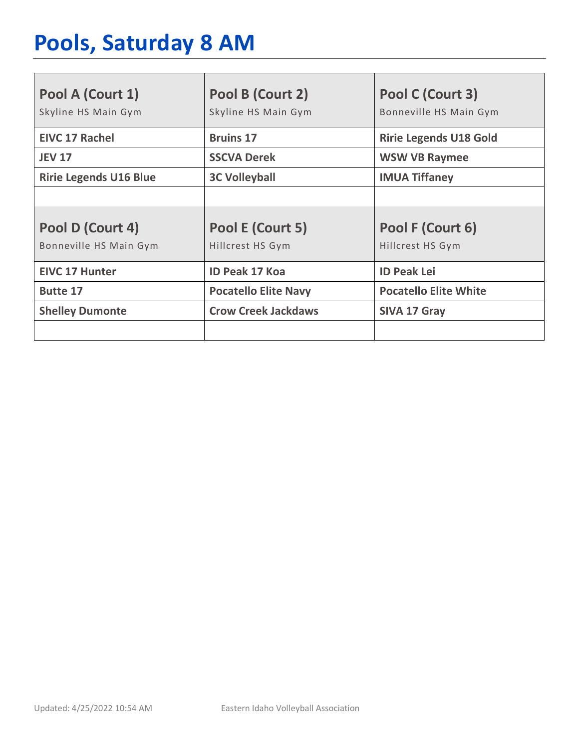## **Pools, Saturday 8 AM**

| Pool A (Court 1)<br>Skyline HS Main Gym    | Pool B (Court 2)<br>Skyline HS Main Gym | Pool C (Court 3)<br>Bonneville HS Main Gym |
|--------------------------------------------|-----------------------------------------|--------------------------------------------|
| <b>EIVC 17 Rachel</b>                      | <b>Bruins 17</b>                        | <b>Ririe Legends U18 Gold</b>              |
| <b>JEV 17</b>                              | <b>SSCVA Derek</b>                      | <b>WSW VB Raymee</b>                       |
| <b>Ririe Legends U16 Blue</b>              | <b>3C Volleyball</b>                    | <b>IMUA Tiffaney</b>                       |
|                                            |                                         |                                            |
| Pool D (Court 4)<br>Bonneville HS Main Gym | Pool E (Court 5)<br>Hillcrest HS Gym    | Pool F (Court 6)<br>Hillcrest HS Gym       |
| <b>EIVC 17 Hunter</b>                      | <b>ID Peak 17 Koa</b>                   | <b>ID Peak Lei</b>                         |
| <b>Butte 17</b>                            | <b>Pocatello Elite Navy</b>             | <b>Pocatello Elite White</b>               |
| <b>Shelley Dumonte</b>                     | <b>Crow Creek Jackdaws</b>              | SIVA 17 Gray                               |
|                                            |                                         |                                            |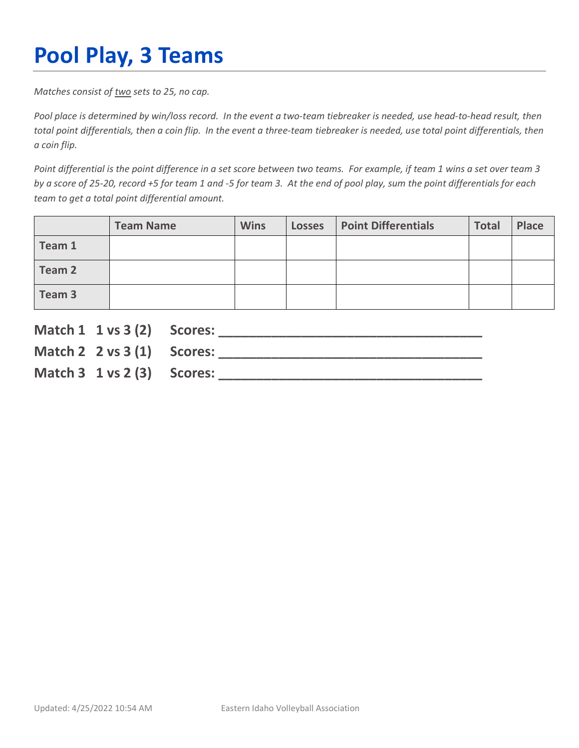# **Pool Play, 3 Teams**

*Matches consist of two sets to 25, no cap.*

*Pool place is determined by win/loss record. In the event a two-team tiebreaker is needed, use head-to-head result, then total point differentials, then a coin flip. In the event a three-team tiebreaker is needed, use total point differentials, then a coin flip.*

*Point differential is the point difference in a set score between two teams. For example, if team 1 wins a set over team 3 by a score of 25-20, record +5 for team 1 and -5 for team 3. At the end of pool play, sum the point differentials for each team to get a total point differential amount.* 

|        | <b>Team Name</b> | <b>Wins</b> | <b>Losses</b> | <b>Point Differentials</b> | <b>Total</b> | <b>Place</b> |
|--------|------------------|-------------|---------------|----------------------------|--------------|--------------|
| Team 1 |                  |             |               |                            |              |              |
| Team 2 |                  |             |               |                            |              |              |
| Team 3 |                  |             |               |                            |              |              |

| Match 1 1 vs 3 (2) Scores:             |  |
|----------------------------------------|--|
| Match 2 $2 \text{ vs } 3(1)$ Scores:   |  |
| Match $3 \t1 \text{ vs } 2(3)$ Scores: |  |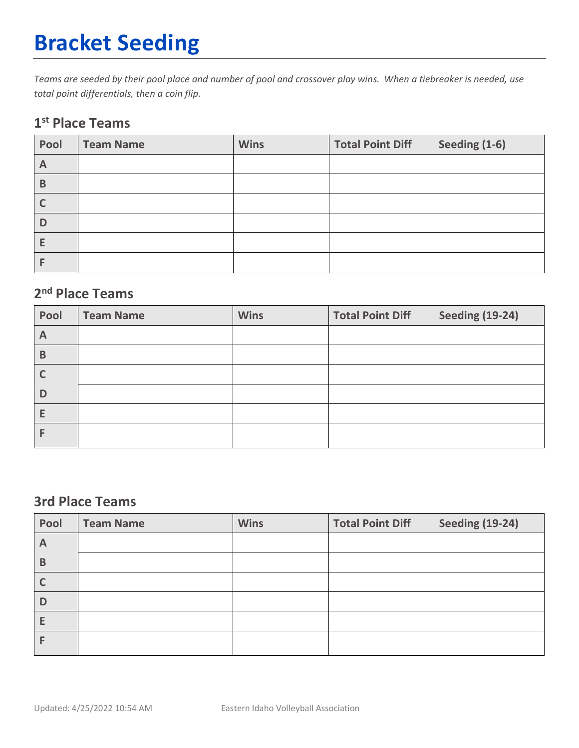## **Bracket Seeding**

*Teams are seeded by their pool place and number of pool and crossover play wins. When a tiebreaker is needed, use total point differentials, then a coin flip.*

#### **1st Place Teams**

| Pool           | <b>Team Name</b> | <b>Wins</b> | <b>Total Point Diff</b> | Seeding (1-6) |
|----------------|------------------|-------------|-------------------------|---------------|
| $\overline{A}$ |                  |             |                         |               |
| B              |                  |             |                         |               |
|                |                  |             |                         |               |
| D              |                  |             |                         |               |
| E              |                  |             |                         |               |
|                |                  |             |                         |               |

#### **2nd Place Teams**

| Pool | <b>Team Name</b> | <b>Wins</b> | <b>Total Point Diff</b> | <b>Seeding (19-24)</b> |
|------|------------------|-------------|-------------------------|------------------------|
| A    |                  |             |                         |                        |
| B    |                  |             |                         |                        |
|      |                  |             |                         |                        |
| D    |                  |             |                         |                        |
| E    |                  |             |                         |                        |
|      |                  |             |                         |                        |

#### **3rd Place Teams**

| Pool | <b>Team Name</b> | <b>Wins</b> | <b>Total Point Diff</b> | <b>Seeding (19-24)</b> |
|------|------------------|-------------|-------------------------|------------------------|
| A    |                  |             |                         |                        |
| B    |                  |             |                         |                        |
|      |                  |             |                         |                        |
| D    |                  |             |                         |                        |
|      |                  |             |                         |                        |
|      |                  |             |                         |                        |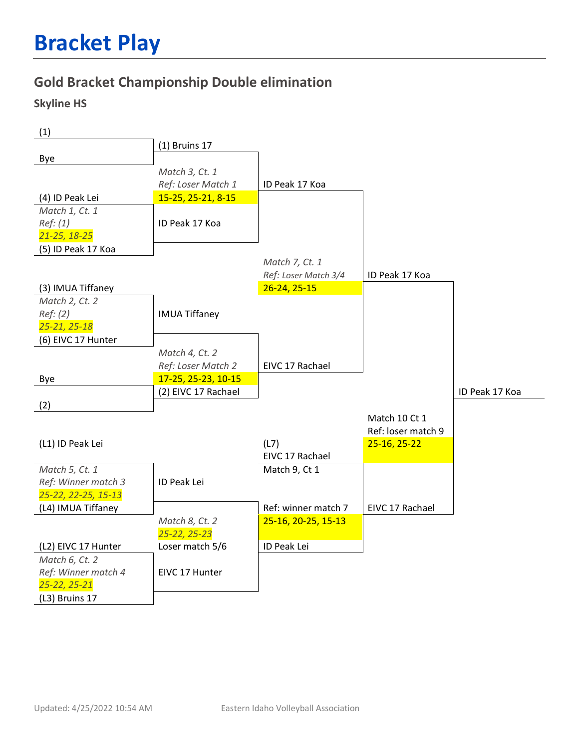### **Gold Bracket Championship Double elimination**

#### **Skyline HS**

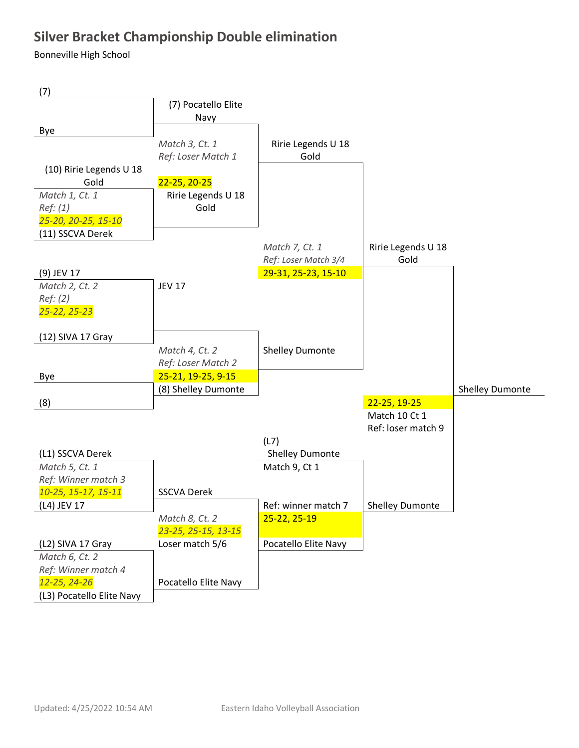### **Silver Bracket Championship Double elimination**

Bonneville High School

| (7)                       |                      |                        |                    |                        |
|---------------------------|----------------------|------------------------|--------------------|------------------------|
|                           | (7) Pocatello Elite  |                        |                    |                        |
|                           | Navy                 |                        |                    |                        |
| Bye                       |                      |                        |                    |                        |
|                           | Match 3, Ct. 1       | Ririe Legends U 18     |                    |                        |
|                           | Ref: Loser Match 1   | Gold                   |                    |                        |
| (10) Ririe Legends U 18   |                      |                        |                    |                        |
| Gold                      | 22-25, 20-25         |                        |                    |                        |
| Match 1, Ct. 1            | Ririe Legends U 18   |                        |                    |                        |
| Ref: (1)                  | Gold                 |                        |                    |                        |
| 25-20, 20-25, 15-10       |                      |                        |                    |                        |
| (11) SSCVA Derek          |                      |                        |                    |                        |
|                           |                      | Match 7, Ct. 1         | Ririe Legends U 18 |                        |
|                           |                      | Ref: Loser Match 3/4   | Gold               |                        |
| (9) JEV 17                |                      | 29-31, 25-23, 15-10    |                    |                        |
| Match 2, Ct. 2            | <b>JEV 17</b>        |                        |                    |                        |
| Ref: (2)                  |                      |                        |                    |                        |
| 25-22, 25-23              |                      |                        |                    |                        |
|                           |                      |                        |                    |                        |
| (12) SIVA 17 Gray         |                      |                        |                    |                        |
|                           | Match 4, Ct. 2       | <b>Shelley Dumonte</b> |                    |                        |
|                           | Ref: Loser Match 2   |                        |                    |                        |
| Bye                       | 25-21, 19-25, 9-15   |                        |                    |                        |
|                           | (8) Shelley Dumonte  |                        |                    | <b>Shelley Dumonte</b> |
| (8)                       |                      |                        | 22-25, 19-25       |                        |
|                           |                      |                        | Match 10 Ct 1      |                        |
|                           |                      |                        | Ref: loser match 9 |                        |
|                           |                      | (L7)                   |                    |                        |
| (L1) SSCVA Derek          |                      | <b>Shelley Dumonte</b> |                    |                        |
| Match 5, Ct. 1            |                      | Match 9, Ct 1          |                    |                        |
| Ref: Winner match 3       |                      |                        |                    |                        |
| 10-25, 15-17, 15-11       | <b>SSCVA Derek</b>   |                        |                    |                        |
| (L4) JEV 17               |                      | Ref: winner match 7    | Shelley Dumonte    |                        |
|                           | Match 8, Ct. 2       | 25-22, 25-19           |                    |                        |
|                           | 23-25, 25-15, 13-15  |                        |                    |                        |
| (L2) SIVA 17 Gray         | Loser match 5/6      | Pocatello Elite Navy   |                    |                        |
| Match 6, Ct. 2            |                      |                        |                    |                        |
| Ref: Winner match 4       |                      |                        |                    |                        |
| 12-25, 24-26              | Pocatello Elite Navy |                        |                    |                        |
| (L3) Pocatello Elite Navy |                      |                        |                    |                        |